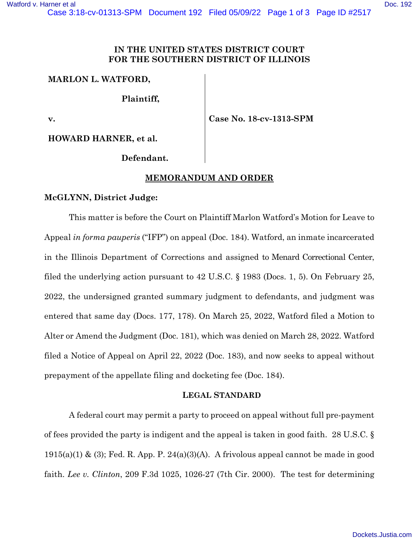## **IN THE UNITED STATES DISTRICT COURT FOR THE SOUTHERN DISTRICT OF ILLINOIS**

## **MARLON L. WATFORD,**

**Plaintiff,**

**v.**

**Case No. 18-cv-1313-SPM**

**HOWARD HARNER, et al.**

**Defendant.**

# **MEMORANDUM AND ORDER**

### **McGLYNN, District Judge:**

This matter is before the Court on Plaintiff Marlon Watford's Motion for Leave to Appeal *in forma pauperis* ("IFP") on appeal (Doc. 184). Watford, an inmate incarcerated in the Illinois Department of Corrections and assigned to Menard Correctional Center, filed the underlying action pursuant to 42 U.S.C. § 1983 (Docs. 1, 5). On February 25, 2022, the undersigned granted summary judgment to defendants, and judgment was entered that same day (Docs. 177, 178). On March 25, 2022, Watford filed a Motion to Alter or Amend the Judgment (Doc. 181), which was denied on March 28, 2022. Watford filed a Notice of Appeal on April 22, 2022 (Doc. 183), and now seeks to appeal without prepayment of the appellate filing and docketing fee (Doc. 184).

#### **LEGAL STANDARD**

A federal court may permit a party to proceed on appeal without full pre-payment of fees provided the party is indigent and the appeal is taken in good faith. 28 U.S.C. §  $1915(a)(1)$  & (3); Fed. R. App. P. 24(a)(3)(A). A frivolous appeal cannot be made in good faith. *Lee v. Clinton*, 209 F.3d 1025, 1026-27 (7th Cir. 2000). The test for determining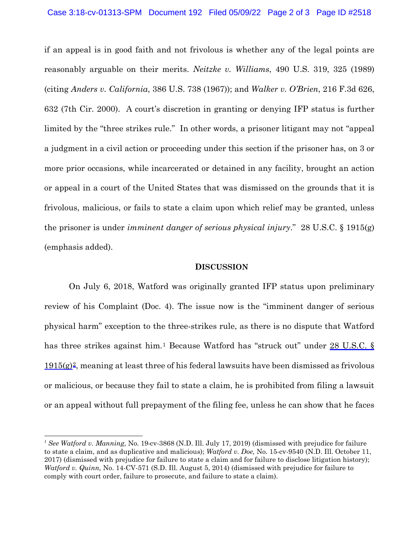if an appeal is in good faith and not frivolous is whether any of the legal points are reasonably arguable on their merits. *Neitzke v. Williams*, 490 U.S. 319, 325 (1989) (citing *Anders v. California*, 386 U.S. 738 (1967)); and *Walker v. O'Brien*, 216 F.3d 626, 632 (7th Cir. 2000). A court's discretion in granting or denying IFP status is further limited by the "three strikes rule." In other words, a prisoner litigant may not "appeal a judgment in a civil action or proceeding under this section if the prisoner has, on 3 or more prior occasions, while incarcerated or detained in any facility, brought an action or appeal in a court of the United States that was dismissed on the grounds that it is frivolous, malicious, or fails to state a claim upon which relief may be granted, unless the prisoner is under *imminent danger of serious physical injury*." 28 U.S.C. § 1915(g) (emphasis added).

#### **DISCUSSION**

On July 6, 2018, Watford was originally granted IFP status upon preliminary review of his Complaint (Doc. 4). The issue now is the "imminent danger of serious physical harm" exception to the three-strikes rule, as there is no dispute that Watford has three strikes against him.<sup>[1](#page-1-0)</sup> Because Watford has "struck out" under 28 U.S.C. §  $1915(g)^2$  $1915(g)^2$  $1915(g)^2$ , meaning at least three of his federal lawsuits have been dismissed as frivolous or malicious, or because they fail to state a claim, he is prohibited from filing a lawsuit or an appeal without full prepayment of the filing fee, unless he can show that he faces

<span id="page-1-1"></span><span id="page-1-0"></span><sup>1</sup> *See Watford v. Manning,* No. 19-cv-3868 (N.D. Ill. July 17, 2019) (dismissed with prejudice for failure to state a claim, and as duplicative and malicious); *Watford v. Doe,* No. 15-cv-9540 (N.D. Ill. October 11, 2017) (dismissed with prejudice for failure to state a claim and for failure to disclose litigation history); *Watford v. Quinn,* No. 14-CV-571 (S.D. Ill. August 5, 2014) (dismissed with prejudice for failure to comply with court order, failure to prosecute, and failure to state a claim).